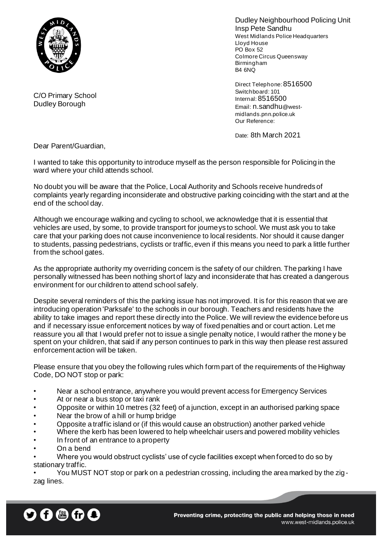

Dudley Neighbourhood Policing Unit Insp Pete Sandhu West Midlands Police Headquarters Lloyd House PO Box 52 Colmore Circus Queensway Birmingham B4 6NQ

Direct Telephone: 8516500 Switchboard: 101 Internal: 8516500 Email: n.sandhu@westmidlands.pnn.police.uk Our Reference:

Date: 8th March 2021

Dear Parent/Guardian,

C/O Primary School Dudley Borough

I wanted to take this opportunity to introduce myself as the person responsible for Policing in the ward where your child attends school.

No doubt you will be aware that the Police, Local Authority and Schools receive hundreds of complaints yearly regarding inconsiderate and obstructive parking coinciding with the start and at the end of the school day.

Although we encourage walking and cycling to school, we acknowledge that it is essential that vehicles are used, by some, to provide transport for journeys to school. We must ask you to take care that your parking does not cause inconvenience to local residents. Nor should it cause danger to students, passing pedestrians, cyclists or traffic, even if this means you need to park a little further from the school gates.

As the appropriate authority my overriding concern is the safety of our children. The parking I have personally witnessed has been nothing short of lazy and inconsiderate that has created a dangerous environment for our children to attend school safely.

Despite several reminders of this the parking issue has not improved. It is for this reason that we are introducing operation 'Parksafe' to the schools in our borough. Teachers and residents have the ability to take images and report these directly into the Police. We will review the evidence before us and if necessary issue enforcement notices by way of fixed penalties and or court action. Let me reassure you all that I would prefer not to issue a single penalty notice, I would rather the mone y be spent on your children, that said if any person continues to park in this way then please rest assured enforcement action will be taken.

Please ensure that you obey the following rules which form part of the requirements of the Highway Code, DO NOT stop or park:

- Near a school entrance, anywhere you would prevent access for Emergency Services
- At or near a bus stop or taxi rank
- Opposite or within 10 metres (32 feet) of a junction, except in an authorised parking space
- Near the brow of a hill or hump bridge
- Opposite a traffic island or (if this would cause an obstruction) another parked vehicle
- Where the kerb has been lowered to help wheelchair users and powered mobility vehicles
- In front of an entrance to a property
- On a bend

• Where you would obstruct cyclists' use of cycle facilities except when forced to do so by stationary traffic.

• You MUST NOT stop or park on a pedestrian crossing, including the area marked by the zigzag lines.